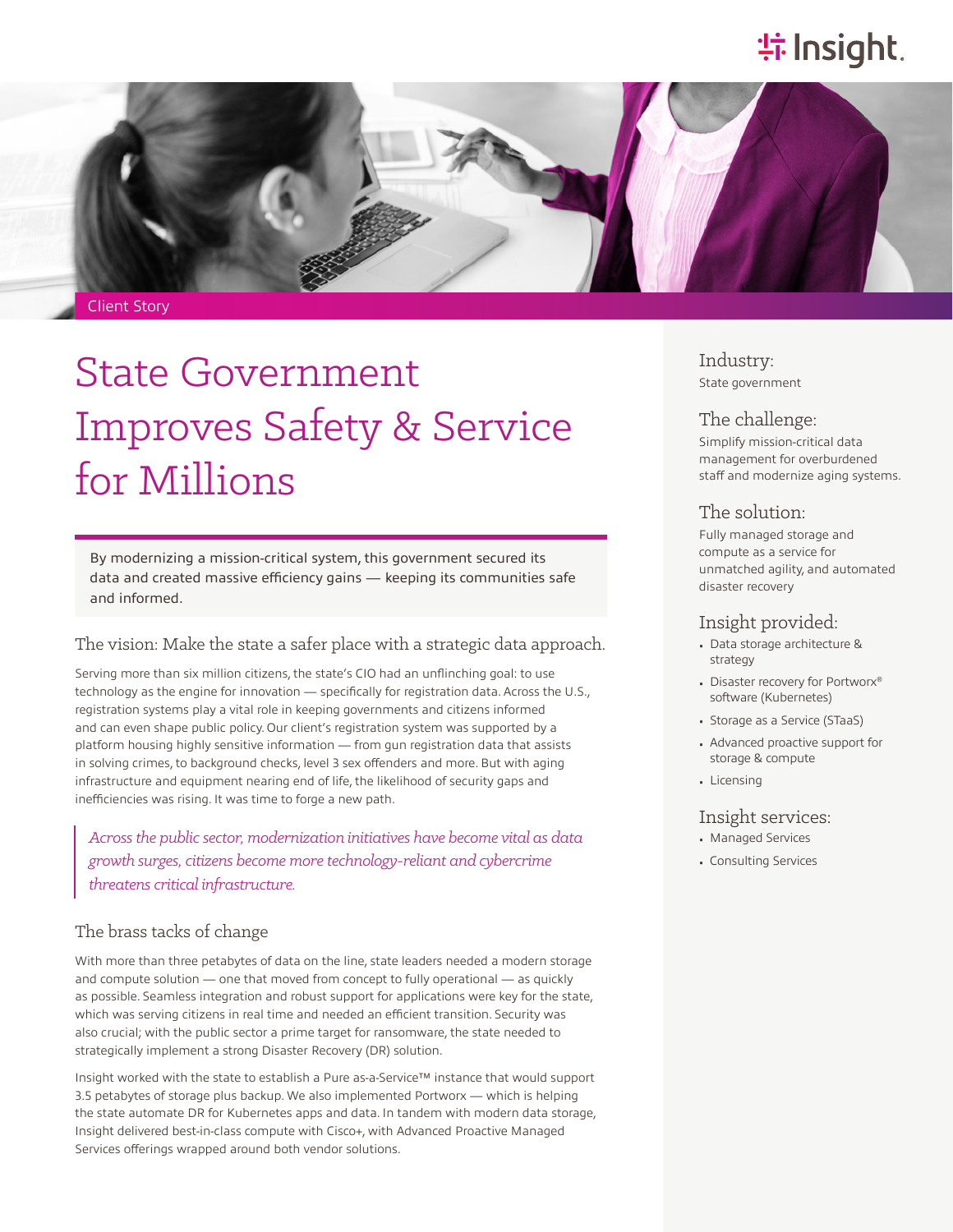## **特Insight**.



Client Story

# State Government Improves Safety & Service for Millions

By modernizing a mission-critical system, this government secured its data and created massive efficiency gains — keeping its communities safe and informed.

## The vision: Make the state a safer place with a strategic data approach.

Serving more than six million citizens, the state's CIO had an unflinching goal: to use technology as the engine for innovation — specifically for registration data. Across the U.S., registration systems play a vital role in keeping governments and citizens informed and can even shape public policy. Our client's registration system was supported by a platform housing highly sensitive information — from gun registration data that assists in solving crimes, to background checks, level 3 sex offenders and more. But with aging infrastructure and equipment nearing end of life, the likelihood of security gaps and inefficiencies was rising. It was time to forge a new path.

*Across the public sector, modernization initiatives have become vital as data growth surges, citizens become more technology-reliant and cybercrime threatens critical infrastructure.*

## The brass tacks of change

With more than three petabytes of data on the line, state leaders needed a modern storage and compute solution — one that moved from concept to fully operational — as quickly as possible. Seamless integration and robust support for applications were key for the state, which was serving citizens in real time and needed an efficient transition. Security was also crucial; with the public sector a prime target for ransomware, the state needed to strategically implement a strong Disaster Recovery (DR) solution.

Insight worked with the state to establish a Pure as-a-Service™ instance that would support 3.5 petabytes of storage plus backup. We also implemented Portworx — which is helping the state automate DR for Kubernetes apps and data. In tandem with modern data storage, Insight delivered best-in-class compute with Cisco+, with Advanced Proactive Managed Services offerings wrapped around both vendor solutions.

Industry: State government

### The challenge:

Simplify mission-critical data management for overburdened staff and modernize aging systems.

### The solution:

Fully managed storage and compute as a service for unmatched agility, and automated disaster recovery

## Insight provided:

- Data storage architecture & strategy
- Disaster recovery for Portworx® software (Kubernetes)
- Storage as a Service (STaaS)
- Advanced proactive support for storage & compute
- Licensing

## Insight services:

- Managed Services
- Consulting Services